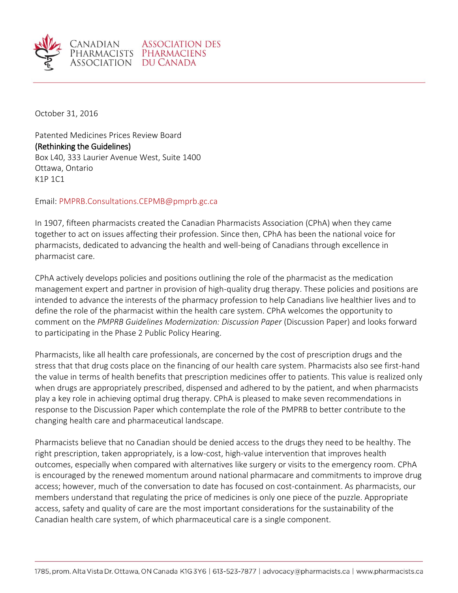

October 31, 2016

Patented Medicines Prices Review Board (Rethinking the Guidelines) Box L40, 333 Laurier Avenue West, Suite 1400 Ottawa, Ontario K1P 1C1

Email: [PMPRB.Consultations.CEPMB@pmprb.gc.ca](mailto:PMPRB.Consultations.CEPMB@pmprb.gc.ca)

In 1907, fifteen pharmacists created the Canadian Pharmacists Association (CPhA) when they came together to act on issues affecting their profession. Since then, CPhA has been the national voice for pharmacists, dedicated to advancing the health and well-being of Canadians through excellence in pharmacist care.

CPhA actively develops policies and positions outlining the role of the pharmacist as the medication management expert and partner in provision of high-quality drug therapy. These policies and positions are intended to advance the interests of the pharmacy profession to help Canadians live healthier lives and to define the role of the pharmacist within the health care system. CPhA welcomes the opportunity to comment on the *PMPRB Guidelines Modernization: Discussion Paper* (Discussion Paper) and looks forward to participating in the Phase 2 Public Policy Hearing.

Pharmacists, like all health care professionals, are concerned by the cost of prescription drugs and the stress that that drug costs place on the financing of our health care system. Pharmacists also see first-hand the value in terms of health benefits that prescription medicines offer to patients. This value is realized only when drugs are appropriately prescribed, dispensed and adhered to by the patient, and when pharmacists play a key role in achieving optimal drug therapy. CPhA is pleased to make seven recommendations in response to the Discussion Paper which contemplate the role of the PMPRB to better contribute to the changing health care and pharmaceutical landscape.

Pharmacists believe that no Canadian should be denied access to the drugs they need to be healthy. The right prescription, taken appropriately, is a low-cost, high-value intervention that improves health outcomes, especially when compared with alternatives like surgery or visits to the emergency room. CPhA is encouraged by the renewed momentum around national pharmacare and commitments to improve drug access; however, much of the conversation to date has focused on cost-containment. As pharmacists, our members understand that regulating the price of medicines is only one piece of the puzzle. Appropriate access, safety and quality of care are the most important considerations for the sustainability of the Canadian health care system, of which pharmaceutical care is a single component.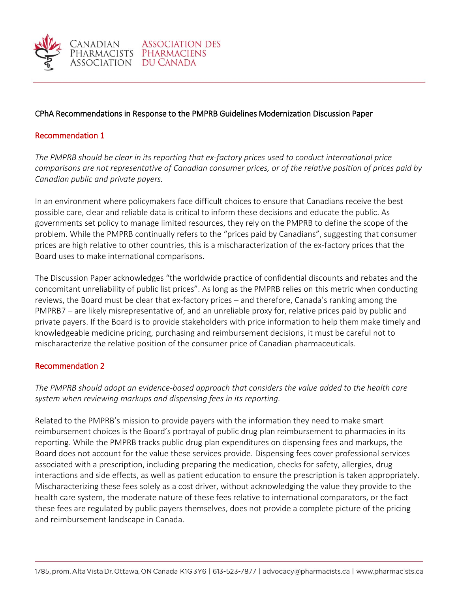

**ASSOCIATION DES** 

### Recommendation 1

*The PMPRB should be clear in its reporting that ex-factory prices used to conduct international price comparisons are not representative of Canadian consumer prices, or of the relative position of prices paid by Canadian public and private payers.*

In an environment where policymakers face difficult choices to ensure that Canadians receive the best possible care, clear and reliable data is critical to inform these decisions and educate the public. As governments set policy to manage limited resources, they rely on the PMPRB to define the scope of the problem. While the PMPRB continually refers to the "prices paid by Canadians", suggesting that consumer prices are high relative to other countries, this is a mischaracterization of the ex-factory prices that the Board uses to make international comparisons.

The Discussion Paper acknowledges "the worldwide practice of confidential discounts and rebates and the concomitant unreliability of public list prices". As long as the PMPRB relies on this metric when conducting reviews, the Board must be clear that ex-factory prices – and therefore, Canada's ranking among the PMPRB7 – are likely misrepresentative of, and an unreliable proxy for, relative prices paid by public and private payers. If the Board is to provide stakeholders with price information to help them make timely and knowledgeable medicine pricing, purchasing and reimbursement decisions, it must be careful not to mischaracterize the relative position of the consumer price of Canadian pharmaceuticals.

### Recommendation 2

*The PMPRB should adopt an evidence-based approach that considers the value added to the health care system when reviewing markups and dispensing fees in its reporting.*

Related to the PMPRB's mission to provide payers with the information they need to make smart reimbursement choices is the Board's portrayal of public drug plan reimbursement to pharmacies in its reporting. While the PMPRB tracks public drug plan expenditures on dispensing fees and markups, the Board does not account for the value these services provide. Dispensing fees cover professional services associated with a prescription, including preparing the medication, checks for safety, allergies, drug interactions and side effects, as well as patient education to ensure the prescription is taken appropriately. Mischaracterizing these fees solely as a cost driver, without acknowledging the value they provide to the health care system, the moderate nature of these fees relative to international comparators, or the fact these fees are regulated by public payers themselves, does not provide a complete picture of the pricing and reimbursement landscape in Canada.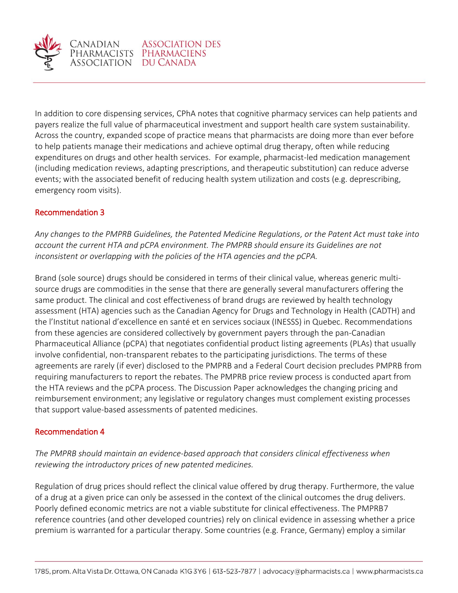

anadian

In addition to core dispensing services, CPhA notes that cognitive pharmacy services can help patients and payers realize the full value of pharmaceutical investment and support health care system sustainability. Across the country, expanded scope of practice means that pharmacists are doing more than ever before to help patients manage their medications and achieve optimal drug therapy, often while reducing expenditures on drugs and other health services. For example, pharmacist-led medication management (including medication reviews, adapting prescriptions, and therapeutic substitution) can reduce adverse events; with the associated benefit of reducing health system utilization and costs (e.g. deprescribing, emergency room visits).

# Recommendation 3

*Any changes to the PMPRB Guidelines, the Patented Medicine Regulations, or the Patent Act must take into account the current HTA and pCPA environment. The PMPRB should ensure its Guidelines are not inconsistent or overlapping with the policies of the HTA agencies and the pCPA.* 

Brand (sole source) drugs should be considered in terms of their clinical value, whereas generic multisource drugs are commodities in the sense that there are generally several manufacturers offering the same product. The clinical and cost effectiveness of brand drugs are reviewed by health technology assessment (HTA) agencies such as the Canadian Agency for Drugs and Technology in Health (CADTH) and the l'Institut national d'excellence en santé et en services sociaux (INESSS) in Quebec. Recommendations from these agencies are considered collectively by government payers through the pan-Canadian Pharmaceutical Alliance (pCPA) that negotiates confidential product listing agreements (PLAs) that usually involve confidential, non-transparent rebates to the participating jurisdictions. The terms of these agreements are rarely (if ever) disclosed to the PMPRB and a Federal Court decision precludes PMPRB from requiring manufacturers to report the rebates. The PMPRB price review process is conducted apart from the HTA reviews and the pCPA process. The Discussion Paper acknowledges the changing pricing and reimbursement environment; any legislative or regulatory changes must complement existing processes that support value-based assessments of patented medicines.

# Recommendation 4

*The PMPRB should maintain an evidence-based approach that considers clinical effectiveness when reviewing the introductory prices of new patented medicines.*

Regulation of drug prices should reflect the clinical value offered by drug therapy. Furthermore, the value of a drug at a given price can only be assessed in the context of the clinical outcomes the drug delivers. Poorly defined economic metrics are not a viable substitute for clinical effectiveness. The PMPRB7 reference countries (and other developed countries) rely on clinical evidence in assessing whether a price premium is warranted for a particular therapy. Some countries (e.g. France, Germany) employ a similar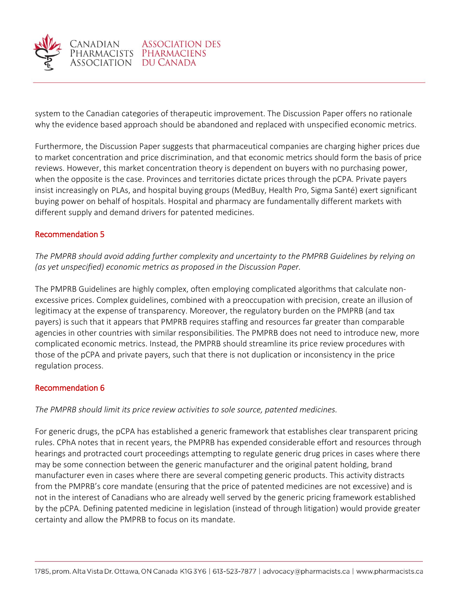

system to the Canadian categories of therapeutic improvement. The Discussion Paper offers no rationale why the evidence based approach should be abandoned and replaced with unspecified economic metrics.

Furthermore, the Discussion Paper suggests that pharmaceutical companies are charging higher prices due to market concentration and price discrimination, and that economic metrics should form the basis of price reviews. However, this market concentration theory is dependent on buyers with no purchasing power, when the opposite is the case. Provinces and territories dictate prices through the pCPA. Private payers insist increasingly on PLAs, and hospital buying groups (MedBuy, Health Pro, Sigma Santé) exert significant buying power on behalf of hospitals. Hospital and pharmacy are fundamentally different markets with different supply and demand drivers for patented medicines.

# Recommendation 5

*The PMPRB should avoid adding further complexity and uncertainty to the PMPRB Guidelines by relying on (as yet unspecified) economic metrics as proposed in the Discussion Paper.* 

The PMPRB Guidelines are highly complex, often employing complicated algorithms that calculate nonexcessive prices. Complex guidelines, combined with a preoccupation with precision, create an illusion of legitimacy at the expense of transparency. Moreover, the regulatory burden on the PMPRB (and tax payers) is such that it appears that PMPRB requires staffing and resources far greater than comparable agencies in other countries with similar responsibilities. The PMPRB does not need to introduce new, more complicated economic metrics. Instead, the PMPRB should streamline its price review procedures with those of the pCPA and private payers, such that there is not duplication or inconsistency in the price regulation process.

# Recommendation 6

*The PMPRB should limit its price review activities to sole source, patented medicines.*

For generic drugs, the pCPA has established a generic framework that establishes clear transparent pricing rules. CPhA notes that in recent years, the PMPRB has expended considerable effort and resources through hearings and protracted court proceedings attempting to regulate generic drug prices in cases where there may be some connection between the generic manufacturer and the original patent holding, brand manufacturer even in cases where there are several competing generic products. This activity distracts from the PMPRB's core mandate (ensuring that the price of patented medicines are not excessive) and is not in the interest of Canadians who are already well served by the generic pricing framework established by the pCPA. Defining patented medicine in legislation (instead of through litigation) would provide greater certainty and allow the PMPRB to focus on its mandate.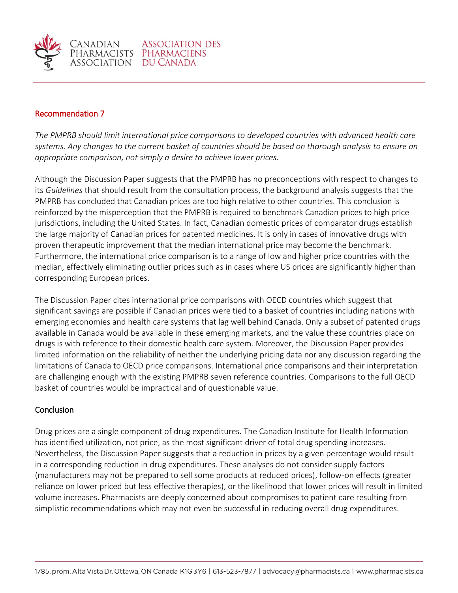

### Recommendation 7

*The PMPRB should limit international price comparisons to developed countries with advanced health care systems. Any changes to the current basket of countries should be based on thorough analysis to ensure an appropriate comparison, not simply a desire to achieve lower prices.*

Although the Discussion Paper suggests that the PMPRB has no preconceptions with respect to changes to its *Guidelines* that should result from the consultation process, the background analysis suggests that the PMPRB has concluded that Canadian prices are too high relative to other countries. This conclusion is reinforced by the misperception that the PMPRB is required to benchmark Canadian prices to high price jurisdictions, including the United States. In fact, Canadian domestic prices of comparator drugs establish the large majority of Canadian prices for patented medicines. It is only in cases of innovative drugs with proven therapeutic improvement that the median international price may become the benchmark. Furthermore, the international price comparison is to a range of low and higher price countries with the median, effectively eliminating outlier prices such as in cases where US prices are significantly higher than corresponding European prices.

The Discussion Paper cites international price comparisons with OECD countries which suggest that significant savings are possible if Canadian prices were tied to a basket of countries including nations with emerging economies and health care systems that lag well behind Canada. Only a subset of patented drugs available in Canada would be available in these emerging markets, and the value these countries place on drugs is with reference to their domestic health care system. Moreover, the Discussion Paper provides limited information on the reliability of neither the underlying pricing data nor any discussion regarding the limitations of Canada to OECD price comparisons. International price comparisons and their interpretation are challenging enough with the existing PMPRB seven reference countries. Comparisons to the full OECD basket of countries would be impractical and of questionable value.

### Conclusion

Drug prices are a single component of drug expenditures. The Canadian Institute for Health Information has identified utilization, not price, as the most significant driver of total drug spending increases. Nevertheless, the Discussion Paper suggests that a reduction in prices by a given percentage would result in a corresponding reduction in drug expenditures. These analyses do not consider supply factors (manufacturers may not be prepared to sell some products at reduced prices), follow-on effects (greater reliance on lower priced but less effective therapies), or the likelihood that lower prices will result in limited volume increases. Pharmacists are deeply concerned about compromises to patient care resulting from simplistic recommendations which may not even be successful in reducing overall drug expenditures.